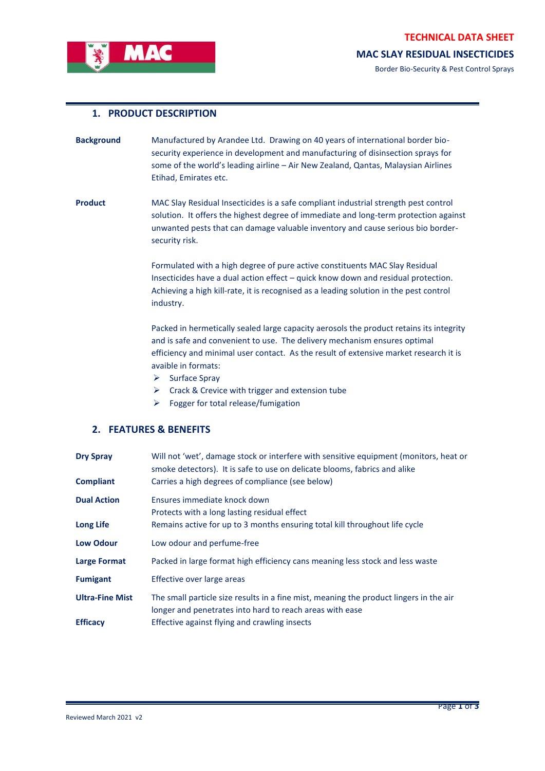# **TECHNICAL DATA SHEET MAC SLAY RESIDUAL INSECTICIDES**

Border Bio-Security & Pest Control Sprays



### **1. PRODUCT DESCRIPTION**

- **Background** Manufactured by Arandee Ltd. Drawing on 40 years of international border biosecurity experience in development and manufacturing of disinsection sprays for some of the world's leading airline – Air New Zealand, Qantas, Malaysian Airlines Etihad, Emirates etc.
- **Product** MAC Slay Residual Insecticides is a safe compliant industrial strength pest control solution. It offers the highest degree of immediate and long-term protection against unwanted pests that can damage valuable inventory and cause serious bio bordersecurity risk.

Formulated with a high degree of pure active constituents MAC Slay Residual Insecticides have a dual action effect – quick know down and residual protection. Achieving a high kill-rate, it is recognised as a leading solution in the pest control industry.

Packed in hermetically sealed large capacity aerosols the product retains its integrity and is safe and convenient to use. The delivery mechanism ensures optimal efficiency and minimal user contact. As the result of extensive market research it is avaible in formats:

- $\triangleright$  Surface Spray
- ➢ Crack & Crevice with trigger and extension tube
- ➢ Fogger for total release/fumigation

#### **2. FEATURES & BENEFITS**

| <b>Dry Spray</b>       | Will not 'wet', damage stock or interfere with sensitive equipment (monitors, heat or<br>smoke detectors). It is safe to use on delicate blooms, fabrics and alike |  |  |
|------------------------|--------------------------------------------------------------------------------------------------------------------------------------------------------------------|--|--|
| <b>Compliant</b>       | Carries a high degrees of compliance (see below)                                                                                                                   |  |  |
| <b>Dual Action</b>     | Ensures immediate knock down<br>Protects with a long lasting residual effect                                                                                       |  |  |
| <b>Long Life</b>       | Remains active for up to 3 months ensuring total kill throughout life cycle                                                                                        |  |  |
| <b>Low Odour</b>       | Low odour and perfume-free                                                                                                                                         |  |  |
| <b>Large Format</b>    | Packed in large format high efficiency cans meaning less stock and less waste                                                                                      |  |  |
| <b>Fumigant</b>        | Effective over large areas                                                                                                                                         |  |  |
| <b>Ultra-Fine Mist</b> | The small particle size results in a fine mist, meaning the product lingers in the air<br>longer and penetrates into hard to reach areas with ease                 |  |  |
| <b>Efficacy</b>        | Effective against flying and crawling insects                                                                                                                      |  |  |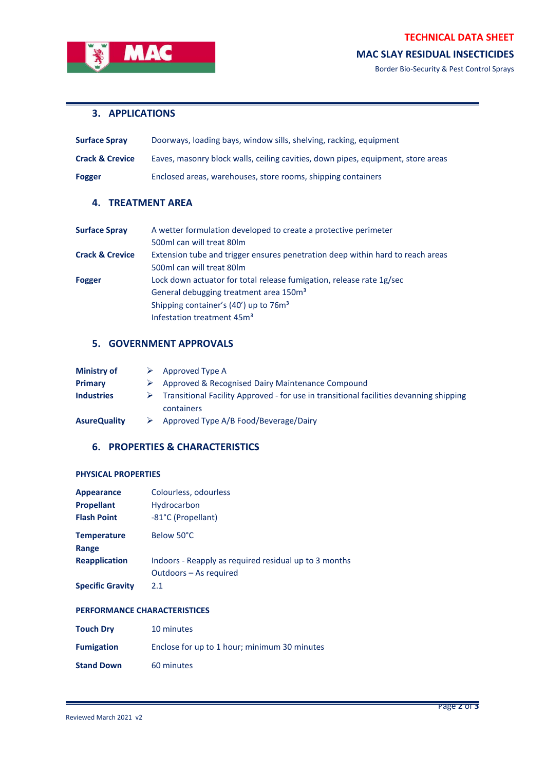

# Border Bio-Security & Pest Control Sprays

### **3. APPLICATIONS**

| <b>Surface Spray</b>       | Doorways, loading bays, window sills, shelving, racking, equipment               |
|----------------------------|----------------------------------------------------------------------------------|
| <b>Crack &amp; Crevice</b> | Eaves, masonry block walls, ceiling cavities, down pipes, equipment, store areas |
| <b>Fogger</b>              | Enclosed areas, warehouses, store rooms, shipping containers                     |

#### **4. TREATMENT AREA**

| <b>Surface Spray</b>       | A wetter formulation developed to create a protective perimeter                |  |
|----------------------------|--------------------------------------------------------------------------------|--|
|                            | 500ml can will treat 80lm                                                      |  |
| <b>Crack &amp; Crevice</b> | Extension tube and trigger ensures penetration deep within hard to reach areas |  |
|                            | 500ml can will treat 80lm                                                      |  |
| <b>Fogger</b>              | Lock down actuator for total release fumigation, release rate 1g/sec           |  |
|                            | General debugging treatment area 150m <sup>3</sup>                             |  |
|                            | Shipping container's (40') up to 76m <sup>3</sup>                              |  |
|                            | Infestation treatment 45m <sup>3</sup>                                         |  |

## **5. GOVERNMENT APPROVALS**

| <b>Ministry of</b>  | Approved Type A                                                                        |
|---------------------|----------------------------------------------------------------------------------------|
| <b>Primary</b>      | Approved & Recognised Dairy Maintenance Compound                                       |
| <b>Industries</b>   | Transitional Facility Approved - for use in transitional facilities devanning shipping |
|                     | containers                                                                             |
| <b>AsureQuality</b> | Approved Type A/B Food/Beverage/Dairy                                                  |

#### **6. PROPERTIES & CHARACTERISTICS**

#### **PHYSICAL PROPERTIES**

| <b>Appearance</b><br><b>Propellant</b><br><b>Flash Point</b> | Colourless, odourless<br>Hydrocarbon<br>-81°C (Propellant)                      |
|--------------------------------------------------------------|---------------------------------------------------------------------------------|
| <b>Temperature</b><br>Range                                  | Below 50°C                                                                      |
| <b>Reapplication</b>                                         | Indoors - Reapply as required residual up to 3 months<br>Outdoors – As required |
| <b>Specific Gravity</b>                                      | 2.1                                                                             |

#### **PERFORMANCE CHARACTERISTICES**

| <b>Touch Dry</b>  | 10 minutes                                   |
|-------------------|----------------------------------------------|
| <b>Fumigation</b> | Enclose for up to 1 hour; minimum 30 minutes |
| <b>Stand Down</b> | 60 minutes                                   |